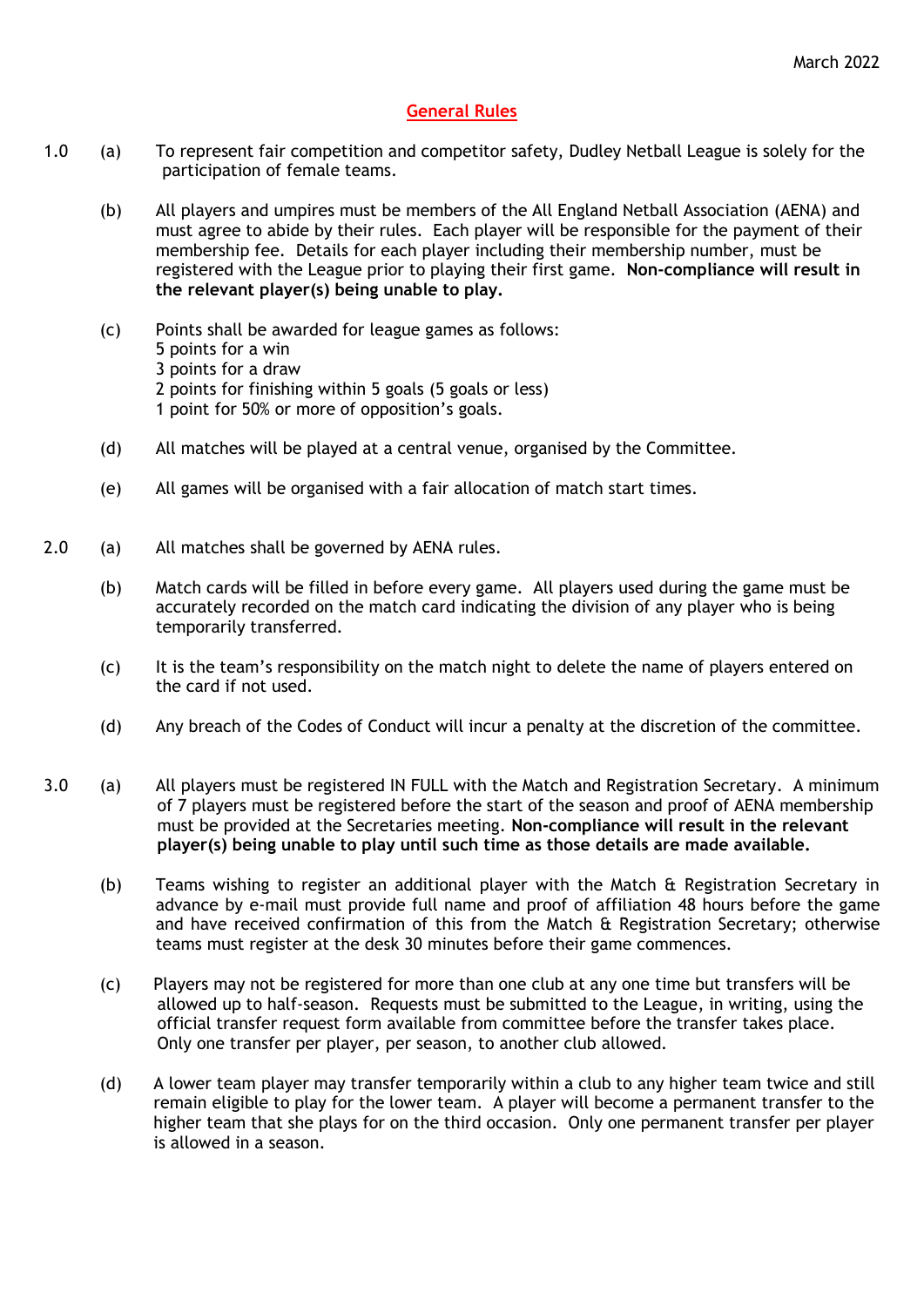## **General Rules**

- 1.0 (a) To represent fair competition and competitor safety, Dudley Netball League is solely for the participation of female teams.
	- (b) All players and umpires must be members of the All England Netball Association (AENA) and must agree to abide by their rules. Each player will be responsible for the payment of their membership fee. Details for each player including their membership number, must be registered with the League prior to playing their first game. **Non-compliance will result in the relevant player(s) being unable to play.**
	- (c) Points shall be awarded for league games as follows: 5 points for a win 3 points for a draw 2 points for finishing within 5 goals (5 goals or less) 1 point for 50% or more of opposition's goals.
	- (d) All matches will be played at a central venue, organised by the Committee.
	- (e) All games will be organised with a fair allocation of match start times.
- 2.0 (a) All matches shall be governed by AENA rules.
	- (b) Match cards will be filled in before every game. All players used during the game must be accurately recorded on the match card indicating the division of any player who is being temporarily transferred.
	- (c) It is the team's responsibility on the match night to delete the name of players entered on the card if not used.
	- (d) Any breach of the Codes of Conduct will incur a penalty at the discretion of the committee.
- 3.0 (a) All players must be registered IN FULL with the Match and Registration Secretary. A minimum of 7 players must be registered before the start of the season and proof of AENA membership must be provided at the Secretaries meeting. **Non-compliance will result in the relevant player(s) being unable to play until such time as those details are made available.**
	- (b) Teams wishing to register an additional player with the Match & Registration Secretary in advance by e-mail must provide full name and proof of affiliation 48 hours before the game and have received confirmation of this from the Match & Registration Secretary; otherwise teams must register at the desk 30 minutes before their game commences.
	- (c) Players may not be registered for more than one club at any one time but transfers will be allowed up to half-season. Requests must be submitted to the League, in writing, using the official transfer request form available from committee before the transfer takes place. Only one transfer per player, per season, to another club allowed.
	- (d) A lower team player may transfer temporarily within a club to any higher team twice and still remain eligible to play for the lower team. A player will become a permanent transfer to the higher team that she plays for on the third occasion. Only one permanent transfer per player is allowed in a season.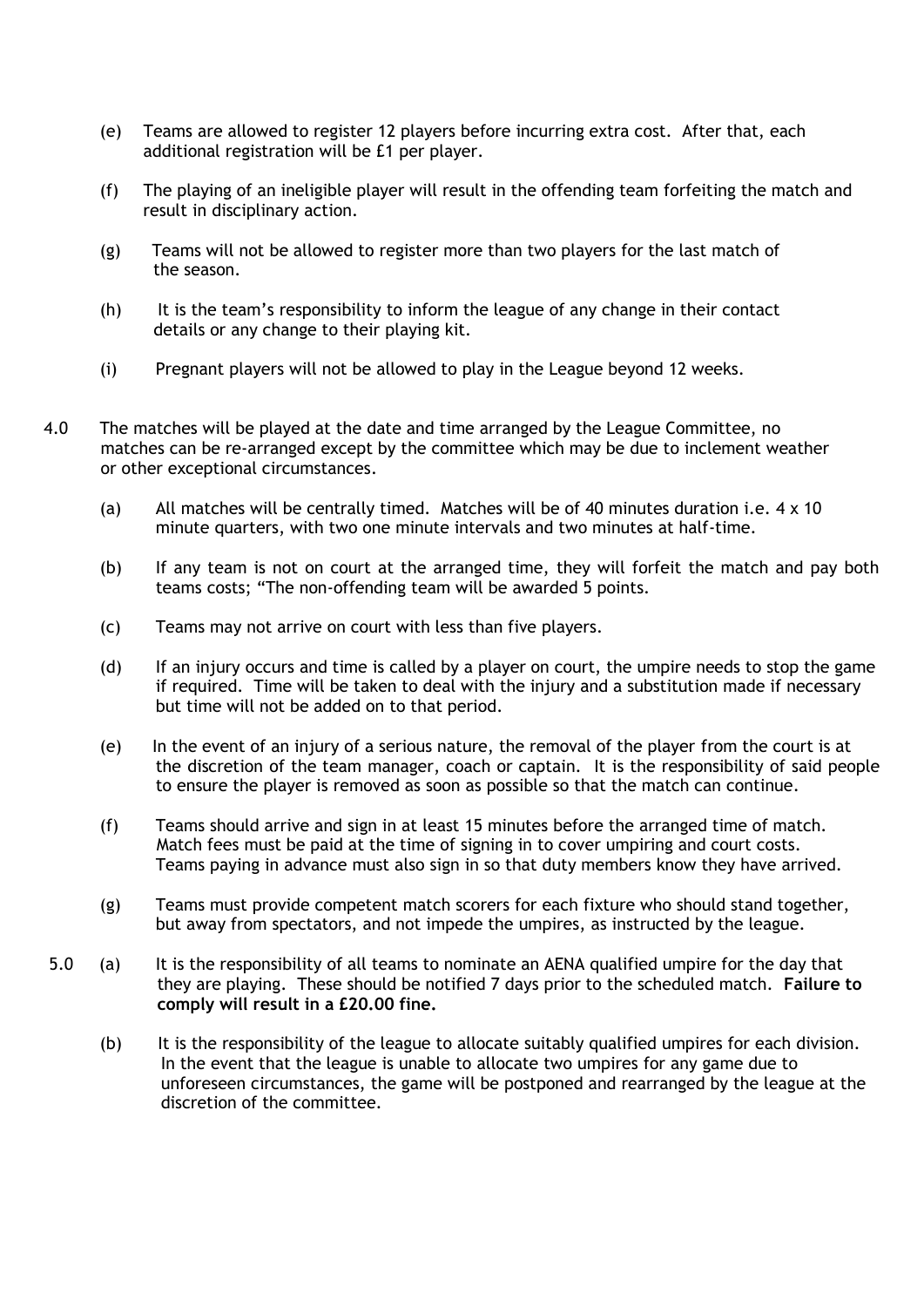- (e) Teams are allowed to register 12 players before incurring extra cost. After that, each additional registration will be £1 per player.
- (f) The playing of an ineligible player will result in the offending team forfeiting the match and result in disciplinary action.
- (g) Teams will not be allowed to register more than two players for the last match of the season.
- (h) It is the team's responsibility to inform the league of any change in their contact details or any change to their playing kit.
- (i) Pregnant players will not be allowed to play in the League beyond 12 weeks.
- 4.0 The matches will be played at the date and time arranged by the League Committee, no matches can be re-arranged except by the committee which may be due to inclement weather or other exceptional circumstances.
	- (a) All matches will be centrally timed. Matches will be of 40 minutes duration i.e. 4 x 10 minute quarters, with two one minute intervals and two minutes at half-time.
	- (b) If any team is not on court at the arranged time, they will forfeit the match and pay both teams costs; "The non-offending team will be awarded 5 points.
	- (c) Teams may not arrive on court with less than five players.
	- (d) If an injury occurs and time is called by a player on court, the umpire needs to stop the game if required. Time will be taken to deal with the injury and a substitution made if necessary but time will not be added on to that period.
	- (e) In the event of an injury of a serious nature, the removal of the player from the court is at the discretion of the team manager, coach or captain. It is the responsibility of said people to ensure the player is removed as soon as possible so that the match can continue.
	- (f) Teams should arrive and sign in at least 15 minutes before the arranged time of match. Match fees must be paid at the time of signing in to cover umpiring and court costs. Teams paying in advance must also sign in so that duty members know they have arrived.
	- (g) Teams must provide competent match scorers for each fixture who should stand together, but away from spectators, and not impede the umpires, as instructed by the league.
- 5.0 (a) It is the responsibility of all teams to nominate an AENA qualified umpire for the day that they are playing. These should be notified 7 days prior to the scheduled match. **Failure to comply will result in a £20.00 fine.**
	- (b) It is the responsibility of the league to allocate suitably qualified umpires for each division. In the event that the league is unable to allocate two umpires for any game due to unforeseen circumstances, the game will be postponed and rearranged by the league at the discretion of the committee.